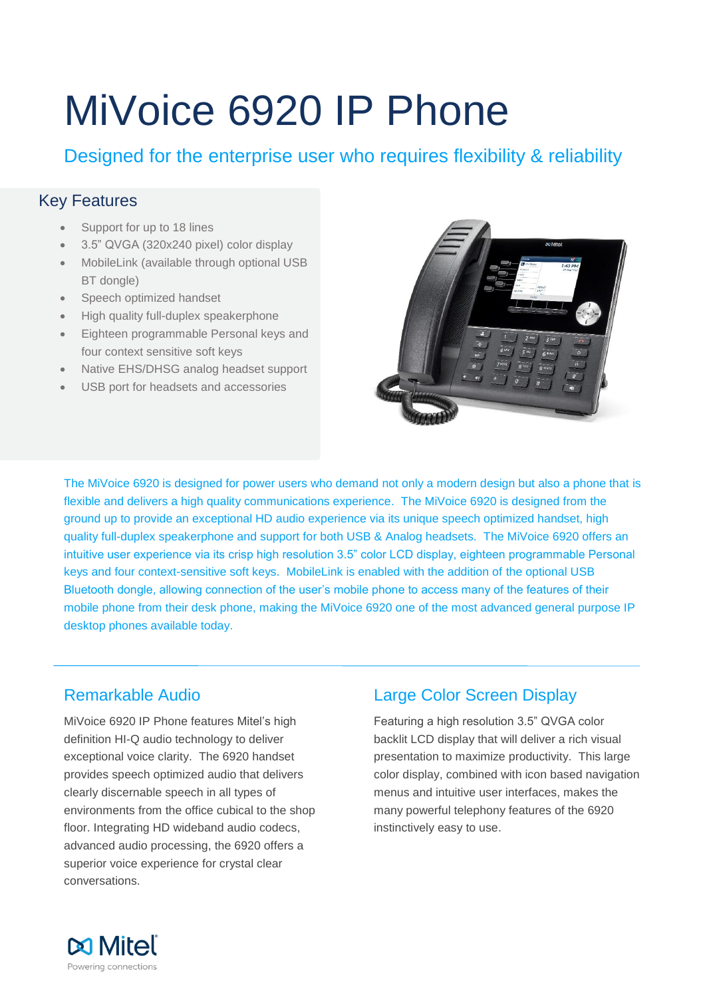# MiVoice 6920 IP Phone

Designed for the enterprise user who requires flexibility & reliability

## Key Features

- Support for up to 18 lines
- 3.5" QVGA (320x240 pixel) color display
- MobileLink (available through optional USB BT dongle)
- Speech optimized handset
- High quality full-duplex speakerphone
- Eighteen programmable Personal keys and four context sensitive soft keys
- Native EHS/DHSG analog headset support
- USB port for headsets and accessories



The MiVoice 6920 is designed for power users who demand not only a modern design but also a phone that is flexible and delivers a high quality communications experience. The MiVoice 6920 is designed from the ground up to provide an exceptional HD audio experience via its unique speech optimized handset, high quality full-duplex speakerphone and support for both USB & Analog headsets. The MiVoice 6920 offers an intuitive user experience via its crisp high resolution 3.5" color LCD display, eighteen programmable Personal keys and four context-sensitive soft keys. MobileLink is enabled with the addition of the optional USB Bluetooth dongle, allowing connection of the user's mobile phone to access many of the features of their mobile phone from their desk phone, making the MiVoice 6920 one of the most advanced general purpose IP desktop phones available today.

## Remarkable Audio

MiVoice 6920 IP Phone features Mitel's high definition HI-Q audio technology to deliver exceptional voice clarity. The 6920 handset provides speech optimized audio that delivers clearly discernable speech in all types of environments from the office cubical to the shop floor. Integrating HD wideband audio codecs, advanced audio processing, the 6920 offers a superior voice experience for crystal clear conversations.

## Large Color Screen Display

Featuring a high resolution 3.5" QVGA color backlit LCD display that will deliver a rich visual presentation to maximize productivity. This large color display, combined with icon based navigation menus and intuitive user interfaces, makes the many powerful telephony features of the 6920 instinctively easy to use.

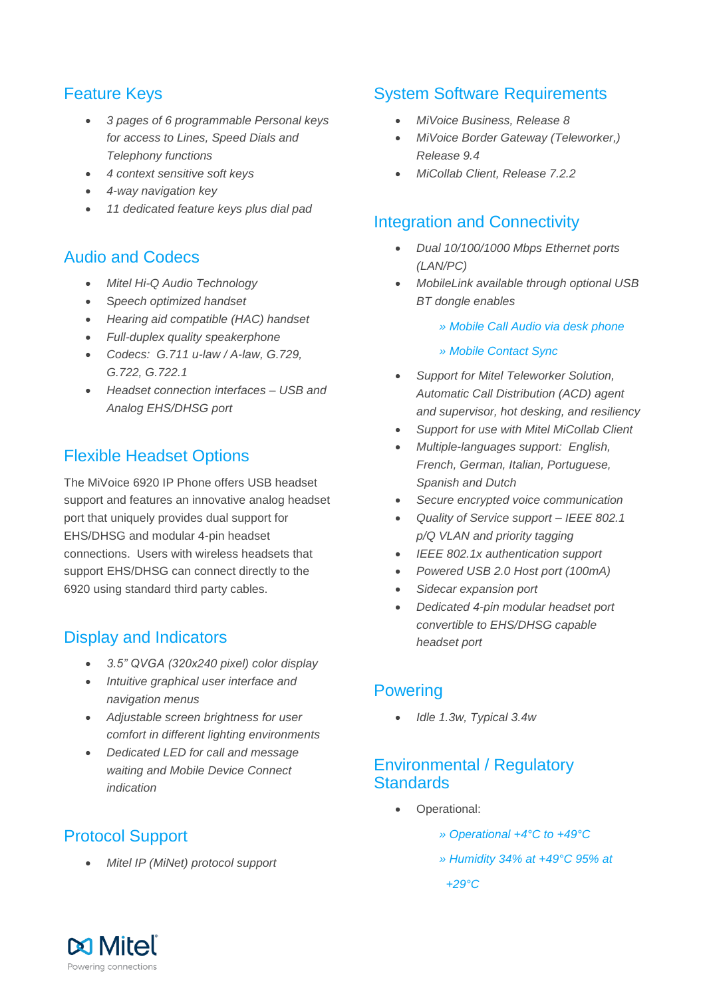## Feature Keys

- *3 pages of 6 programmable Personal keys for access to Lines, Speed Dials and Telephony functions*
- *4 context sensitive soft keys*
- *4-way navigation key*
- *11 dedicated feature keys plus dial pad*

#### Audio and Codecs

- *Mitel Hi-Q Audio Technology*
- S*peech optimized handset*
- *Hearing aid compatible (HAC) handset*
- *Full-duplex quality speakerphone*
- *Codecs: G.711 u-law / A-law, G.729, G.722, G.722.1*
- *Headset connection interfaces – USB and Analog EHS/DHSG port*

## Flexible Headset Options

The MiVoice 6920 IP Phone offers USB headset support and features an innovative analog headset port that uniquely provides dual support for EHS/DHSG and modular 4-pin headset connections. Users with wireless headsets that support EHS/DHSG can connect directly to the 6920 using standard third party cables.

#### Display and Indicators

- *3.5" QVGA (320x240 pixel) color display*
- *Intuitive graphical user interface and navigation menus*
- *Adjustable screen brightness for user comfort in different lighting environments*
- *Dedicated LED for call and message waiting and Mobile Device Connect indication*

## Protocol Support

*Mitel IP (MiNet) protocol support*

#### System Software Requirements

- *MiVoice Business, Release 8*
- *MiVoice Border Gateway (Teleworker,) Release 9.4*
- *MiCollab Client, Release 7.2.2*

#### Integration and Connectivity

- *Dual 10/100/1000 Mbps Ethernet ports (LAN/PC)*
- *MobileLink available through optional USB BT dongle enables*
	- *» Mobile Call Audio via desk phone*
	- *» Mobile Contact Sync*
- *Support for Mitel Teleworker Solution, Automatic Call Distribution (ACD) agent and supervisor, hot desking, and resiliency*
- *Support for use with Mitel MiCollab Client*
- *Multiple-languages support: English, French, German, Italian, Portuguese, Spanish and Dutch*
- *Secure encrypted voice communication*
- *Quality of Service support – IEEE 802.1 p/Q VLAN and priority tagging*
- *IEEE 802.1x authentication support*
- *Powered USB 2.0 Host port (100mA)*
- *Sidecar expansion port*
- *Dedicated 4-pin modular headset port convertible to EHS/DHSG capable headset port*

#### **Powering**

*Idle 1.3w, Typical 3.4w*

#### Environmental / Regulatory **Standards**

- Operational:
	- *» Operational +4°C to +49°C*
	- *» Humidity 34% at +49°C 95% at*

 *+29°C*